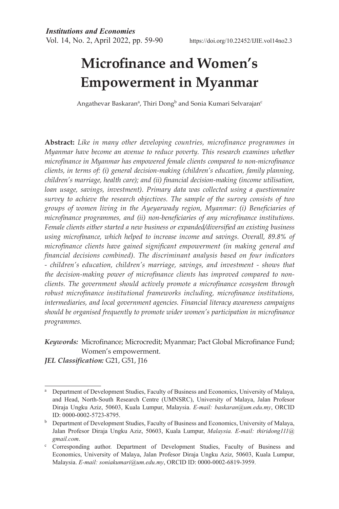# **Microfinance and Women's Empowerment in Myanmar**

Angathevar Baskaran<sup>a</sup>, Thiri Dong<sup>b</sup> and Sonia Kumari Selvarajan<sup>c</sup>

**Abstract:** *Like in many other developing countries, microfinance programmes in Myanmar have become an avenue to reduce poverty. This research examines whether microfinance in Myanmar has empowered female clients compared to non-microfinance clients, in terms of: (i) general decision-making (children's education, family planning, children's marriage, health care); and (ii) financial decision-making (income utilisation, loan usage, savings, investment). Primary data was collected using a questionnaire survey to achieve the research objectives. The sample of the survey consists of two groups of women living in the Ayeyarwady region, Myanmar: (i) Beneficiaries of microfinance programmes, and (ii) non-beneficiaries of any microfinance institutions. Female clients either started a new business or expanded/diversified an existing business using microfinance, which helped to increase income and savings. Overall, 89.8% of microfinance clients have gained significant empowerment (in making general and financial decisions combined). The discriminant analysis based on four indicators - children's education, children's marriage, savings, and investment - shows that the decision-making power of microfinance clients has improved compared to nonclients. The government should actively promote a microfinance ecosystem through robust microfinance institutional frameworks including, microfinance institutions, intermediaries, and local government agencies. Financial literacy awareness campaigns should be organised frequently to promote wider women's participation in microfinance programmes.* 

*Keywords:* Microfinance; Microcredit; Myanmar; Pact Global Microfinance Fund; Women's empowerment.

*JEL Classification:* G21, G51, J16

<sup>a</sup> Department of Development Studies, Faculty of Business and Economics, University of Malaya, and Head, North-South Research Centre (UMNSRC), University of Malaya, Jalan Profesor Diraja Ungku Aziz, 50603, Kuala Lumpur, Malaysia. *E-mail: baskaran@um.edu.my*, ORCID ID: 0000-0002-5723-8795.<br><sup>b</sup> Department of Development Studies, Faculty of Business and Economics, University of Malaya,

Jalan Profesor Diraja Ungku Aziz, 50603, Kuala Lumpur, *Malaysia. E-mail: thiridong111@* gmail.com.<br><sup>c</sup> Corresponding author. Department of Development Studies, Faculty of Business and

Economics, University of Malaya, Jalan Profesor Diraja Ungku Aziz, 50603, Kuala Lumpur, Malaysia. *E-mail: soniakumari@um.edu.my*, ORCID ID: 0000-0002-6819-3959.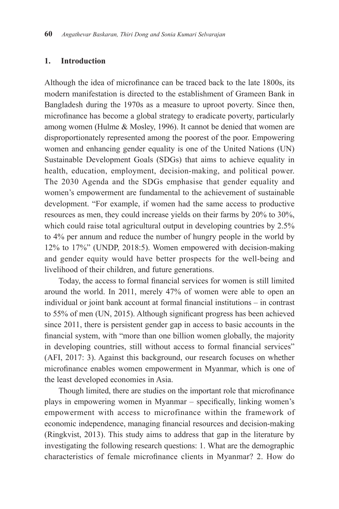## **1. Introduction**

Although the idea of microfinance can be traced back to the late 1800s, its modern manifestation is directed to the establishment of Grameen Bank in Bangladesh during the 1970s as a measure to uproot poverty. Since then, microfinance has become a global strategy to eradicate poverty, particularly among women (Hulme & Mosley, 1996). It cannot be denied that women are disproportionately represented among the poorest of the poor. Empowering women and enhancing gender equality is one of the United Nations (UN) Sustainable Development Goals (SDGs) that aims to achieve equality in health, education, employment, decision-making, and political power. The 2030 Agenda and the SDGs emphasise that gender equality and women's empowerment are fundamental to the achievement of sustainable development. "For example, if women had the same access to productive resources as men, they could increase yields on their farms by 20% to 30%, which could raise total agricultural output in developing countries by 2.5% to 4% per annum and reduce the number of hungry people in the world by 12% to 17%" (UNDP, 2018:5). Women empowered with decision-making and gender equity would have better prospects for the well-being and livelihood of their children, and future generations.

Today, the access to formal financial services for women is still limited around the world. In 2011, merely 47% of women were able to open an individual or joint bank account at formal financial institutions – in contrast to 55% of men (UN, 2015). Although significant progress has been achieved since 2011, there is persistent gender gap in access to basic accounts in the financial system, with "more than one billion women globally, the majority in developing countries, still without access to formal financial services" (AFI, 2017: 3). Against this background, our research focuses on whether microfinance enables women empowerment in Myanmar, which is one of the least developed economies in Asia.

Though limited, there are studies on the important role that microfinance plays in empowering women in Myanmar – specifically, linking women's empowerment with access to microfinance within the framework of economic independence, managing financial resources and decision-making (Ringkvist, 2013). This study aims to address that gap in the literature by investigating the following research questions: 1. What are the demographic characteristics of female microfinance clients in Myanmar? 2. How do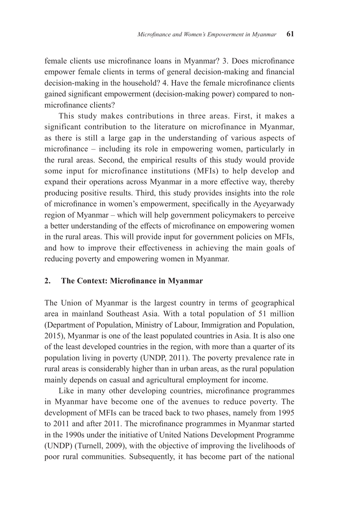female clients use microfinance loans in Myanmar? 3. Does microfinance empower female clients in terms of general decision-making and financial decision-making in the household? 4. Have the female microfinance clients gained significant empowerment (decision-making power) compared to nonmicrofinance clients?

This study makes contributions in three areas. First, it makes a significant contribution to the literature on microfinance in Myanmar, as there is still a large gap in the understanding of various aspects of microfinance – including its role in empowering women, particularly in the rural areas. Second, the empirical results of this study would provide some input for microfinance institutions (MFIs) to help develop and expand their operations across Myanmar in a more effective way, thereby producing positive results. Third, this study provides insights into the role of microfinance in women's empowerment, specifically in the Ayeyarwady region of Myanmar – which will help government policymakers to perceive a better understanding of the effects of microfinance on empowering women in the rural areas. This will provide input for government policies on MFIs, and how to improve their effectiveness in achieving the main goals of reducing poverty and empowering women in Myanmar.

## **2. The Context: Microfinance in Myanmar**

The Union of Myanmar is the largest country in terms of geographical area in mainland Southeast Asia. With a total population of 51 million (Department of Population, Ministry of Labour, Immigration and Population, 2015), Myanmar is one of the least populated countries in Asia. It is also one of the least developed countries in the region, with more than a quarter of its population living in poverty (UNDP, 2011). The poverty prevalence rate in rural areas is considerably higher than in urban areas, as the rural population mainly depends on casual and agricultural employment for income.

Like in many other developing countries, microfinance programmes in Myanmar have become one of the avenues to reduce poverty. The development of MFIs can be traced back to two phases, namely from 1995 to 2011 and after 2011. The microfinance programmes in Myanmar started in the 1990s under the initiative of United Nations Development Programme (UNDP) (Turnell, 2009), with the objective of improving the livelihoods of poor rural communities. Subsequently, it has become part of the national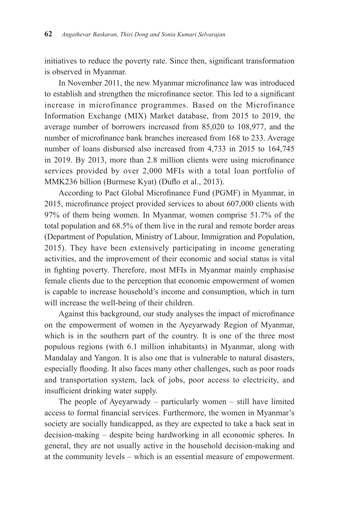initiatives to reduce the poverty rate. Since then, significant transformation is observed in Myanmar.

In November 2011, the new Myanmar microfinance law was introduced to establish and strengthen the microfinance sector. This led to a significant increase in microfinance programmes. Based on the Microfinance Information Exchange (MIX) Market database, from 2015 to 2019, the average number of borrowers increased from 85,020 to 108,977, and the number of microfinance bank branches increased from 168 to 233. Average number of loans disbursed also increased from 4,733 in 2015 to 164,745 in 2019. By 2013, more than 2.8 million clients were using microfinance services provided by over 2,000 MFIs with a total loan portfolio of MMK236 billion (Burmese Kyat) (Duflo et al., 2013).

According to Pact Global Microfinance Fund (PGMF) in Myanmar, in 2015, microfinance project provided services to about 607,000 clients with 97% of them being women. In Myanmar, women comprise 51.7% of the total population and 68.5% of them live in the rural and remote border areas (Department of Population, Ministry of Labour, Immigration and Population, 2015). They have been extensively participating in income generating activities, and the improvement of their economic and social status is vital in fighting poverty. Therefore, most MFIs in Myanmar mainly emphasise female clients due to the perception that economic empowerment of women is capable to increase household's income and consumption, which in turn will increase the well-being of their children.

Against this background, our study analyses the impact of microfinance on the empowerment of women in the Ayeyarwady Region of Myanmar, which is in the southern part of the country. It is one of the three most populous regions (with 6.1 million inhabitants) in Myanmar, along with Mandalay and Yangon. It is also one that is vulnerable to natural disasters, especially flooding. It also faces many other challenges, such as poor roads and transportation system, lack of jobs, poor access to electricity, and insufficient drinking water supply.

The people of Ayeyarwady – particularly women – still have limited access to formal financial services. Furthermore, the women in Myanmar's society are socially handicapped, as they are expected to take a back seat in decision-making – despite being hardworking in all economic spheres. In general, they are not usually active in the household decision-making and at the community levels – which is an essential measure of empowerment.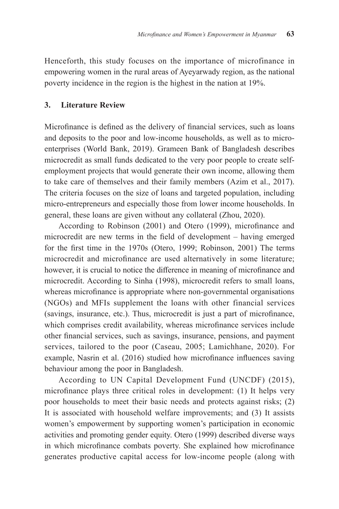Henceforth, this study focuses on the importance of microfinance in empowering women in the rural areas of Ayeyarwady region, as the national poverty incidence in the region is the highest in the nation at 19%.

## **3. Literature Review**

Microfinance is defined as the delivery of financial services, such as loans and deposits to the poor and low-income households, as well as to microenterprises (World Bank, 2019). Grameen Bank of Bangladesh describes microcredit as small funds dedicated to the very poor people to create selfemployment projects that would generate their own income, allowing them to take care of themselves and their family members (Azim et al., 2017). The criteria focuses on the size of loans and targeted population, including micro-entrepreneurs and especially those from lower income households. In general, these loans are given without any collateral (Zhou, 2020).

According to Robinson (2001) and Otero (1999), microfinance and microcredit are new terms in the field of development – having emerged for the first time in the 1970s (Otero, 1999; Robinson, 2001) The terms microcredit and microfinance are used alternatively in some literature; however, it is crucial to notice the difference in meaning of microfinance and microcredit. According to Sinha (1998), microcredit refers to small loans, whereas microfinance is appropriate where non-governmental organisations (NGOs) and MFIs supplement the loans with other financial services (savings, insurance, etc.). Thus, microcredit is just a part of microfinance, which comprises credit availability, whereas microfinance services include other financial services, such as savings, insurance, pensions, and payment services, tailored to the poor (Caseau, 2005; Lamichhane, 2020). For example, Nasrin et al. (2016) studied how microfinance influences saving behaviour among the poor in Bangladesh.

According to UN Capital Development Fund (UNCDF) (2015), microfinance plays three critical roles in development: (1) It helps very poor households to meet their basic needs and protects against risks; (2) It is associated with household welfare improvements; and (3) It assists women's empowerment by supporting women's participation in economic activities and promoting gender equity. Otero (1999) described diverse ways in which microfinance combats poverty. She explained how microfinance generates productive capital access for low-income people (along with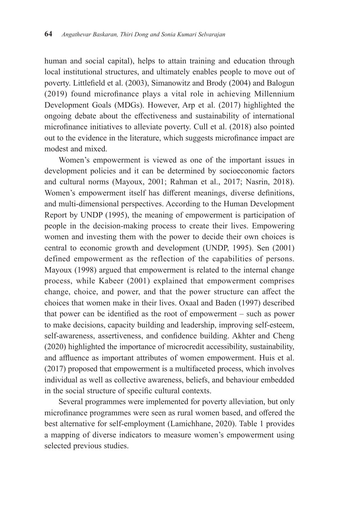human and social capital), helps to attain training and education through local institutional structures, and ultimately enables people to move out of poverty. Littlefield et al. (2003), Simanowitz and Brody (2004) and Balogun (2019) found microfinance plays a vital role in achieving Millennium Development Goals (MDGs). However, Arp et al. (2017) highlighted the ongoing debate about the effectiveness and sustainability of international microfinance initiatives to alleviate poverty. Cull et al. (2018) also pointed out to the evidence in the literature, which suggests microfinance impact are modest and mixed.

Women's empowerment is viewed as one of the important issues in development policies and it can be determined by socioeconomic factors and cultural norms (Mayoux, 2001; Rahman et al., 2017; Nasrin, 2018). Women's empowerment itself has different meanings, diverse definitions, and multi-dimensional perspectives. According to the Human Development Report by UNDP (1995), the meaning of empowerment is participation of people in the decision-making process to create their lives. Empowering women and investing them with the power to decide their own choices is central to economic growth and development (UNDP, 1995). Sen (2001) defined empowerment as the reflection of the capabilities of persons. Mayoux (1998) argued that empowerment is related to the internal change process, while Kabeer (2001) explained that empowerment comprises change, choice, and power, and that the power structure can affect the choices that women make in their lives. Oxaal and Baden (1997) described that power can be identified as the root of empowerment – such as power to make decisions, capacity building and leadership, improving self-esteem, self-awareness, assertiveness, and confidence building. Akhter and Cheng (2020) highlighted the importance of microcredit accessibility, sustainability, and affluence as important attributes of women empowerment. Huis et al. (2017) proposed that empowerment is a multifaceted process, which involves individual as well as collective awareness, beliefs, and behaviour embedded in the social structure of specific cultural contexts.

Several programmes were implemented for poverty alleviation, but only microfinance programmes were seen as rural women based, and offered the best alternative for self-employment (Lamichhane, 2020). Table 1 provides a mapping of diverse indicators to measure women's empowerment using selected previous studies.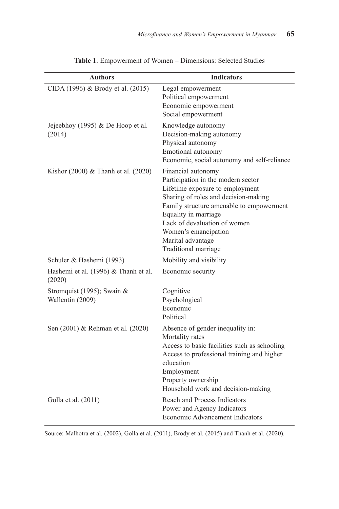| <b>Authors</b>                                 | <b>Indicators</b>                                                                                                                                                                                                                                                                                            |
|------------------------------------------------|--------------------------------------------------------------------------------------------------------------------------------------------------------------------------------------------------------------------------------------------------------------------------------------------------------------|
| CIDA (1996) & Brody et al. (2015)              | Legal empowerment<br>Political empowerment<br>Economic empowerment<br>Social empowerment                                                                                                                                                                                                                     |
| Jejeebhoy (1995) & De Hoop et al.<br>(2014)    | Knowledge autonomy<br>Decision-making autonomy<br>Physical autonomy<br>Emotional autonomy<br>Economic, social autonomy and self-reliance                                                                                                                                                                     |
| Kishor $(2000)$ & Thanh et al. $(2020)$        | Financial autonomy<br>Participation in the modern sector<br>Lifetime exposure to employment<br>Sharing of roles and decision-making<br>Family structure amenable to empowerment<br>Equality in marriage<br>Lack of devaluation of women<br>Women's emancipation<br>Marital advantage<br>Traditional marriage |
| Schuler & Hashemi (1993)                       | Mobility and visibility                                                                                                                                                                                                                                                                                      |
| Hashemi et al. (1996) & Thanh et al.<br>(2020) | Economic security                                                                                                                                                                                                                                                                                            |
| Stromquist (1995); Swain &<br>Wallentin (2009) | Cognitive<br>Psychological<br>Economic<br>Political                                                                                                                                                                                                                                                          |
| Sen (2001) & Rehman et al. (2020)              | Absence of gender inequality in:<br>Mortality rates<br>Access to basic facilities such as schooling<br>Access to professional training and higher<br>education<br>Employment<br>Property ownership<br>Household work and decision-making                                                                     |
| Golla et al. (2011)                            | Reach and Process Indicators<br>Power and Agency Indicators<br>Economic Advancement Indicators                                                                                                                                                                                                               |

**Table 1**. Empowerment of Women – Dimensions: Selected Studies

Source: Malhotra et al. (2002), Golla et al. (2011), Brody et al. (2015) and Thanh et al. (2020).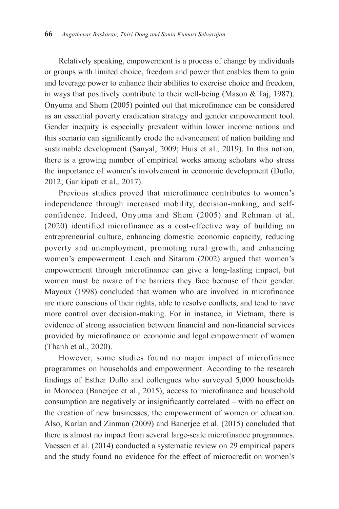Relatively speaking, empowerment is a process of change by individuals or groups with limited choice, freedom and power that enables them to gain and leverage power to enhance their abilities to exercise choice and freedom, in ways that positively contribute to their well-being (Mason & Taj, 1987). Onyuma and Shem (2005) pointed out that microfinance can be considered as an essential poverty eradication strategy and gender empowerment tool. Gender inequity is especially prevalent within lower income nations and this scenario can significantly erode the advancement of nation building and sustainable development (Sanyal, 2009; Huis et al., 2019). In this notion, there is a growing number of empirical works among scholars who stress the importance of women's involvement in economic development (Duflo, 2012; Garikipati et al., 2017).

Previous studies proved that microfinance contributes to women's independence through increased mobility, decision-making, and selfconfidence. Indeed, Onyuma and Shem (2005) and Rehman et al. (2020) identified microfinance as a cost-effective way of building an entrepreneurial culture, enhancing domestic economic capacity, reducing poverty and unemployment, promoting rural growth, and enhancing women's empowerment. Leach and Sitaram (2002) argued that women's empowerment through microfinance can give a long-lasting impact, but women must be aware of the barriers they face because of their gender. Mayoux (1998) concluded that women who are involved in microfinance are more conscious of their rights, able to resolve conflicts, and tend to have more control over decision-making. For in instance, in Vietnam, there is evidence of strong association between financial and non-financial services provided by microfinance on economic and legal empowerment of women (Thanh et al., 2020).

However, some studies found no major impact of microfinance programmes on households and empowerment. According to the research findings of Esther Duflo and colleagues who surveyed 5,000 households in Morocco (Banerjee et al., 2015), access to microfinance and household consumption are negatively or insignificantly correlated – with no effect on the creation of new businesses, the empowerment of women or education. Also, Karlan and Zinman (2009) and Banerjee et al. (2015) concluded that there is almost no impact from several large-scale microfinance programmes. Vaessen et al. (2014) conducted a systematic review on 29 empirical papers and the study found no evidence for the effect of microcredit on women's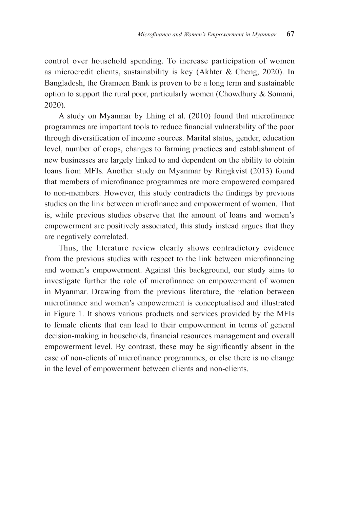control over household spending. To increase participation of women as microcredit clients, sustainability is key (Akhter & Cheng, 2020). In Bangladesh, the Grameen Bank is proven to be a long term and sustainable option to support the rural poor, particularly women (Chowdhury & Somani, 2020).

A study on Myanmar by Lhing et al. (2010) found that microfinance programmes are important tools to reduce financial vulnerability of the poor through diversification of income sources. Marital status, gender, education level, number of crops, changes to farming practices and establishment of new businesses are largely linked to and dependent on the ability to obtain loans from MFIs. Another study on Myanmar by Ringkvist (2013) found that members of microfinance programmes are more empowered compared to non-members. However, this study contradicts the findings by previous studies on the link between microfinance and empowerment of women. That is, while previous studies observe that the amount of loans and women's empowerment are positively associated, this study instead argues that they are negatively correlated.

Thus, the literature review clearly shows contradictory evidence from the previous studies with respect to the link between microfinancing and women's empowerment. Against this background, our study aims to investigate further the role of microfinance on empowerment of women in Myanmar. Drawing from the previous literature, the relation between microfinance and women's empowerment is conceptualised and illustrated in Figure 1. It shows various products and services provided by the MFIs to female clients that can lead to their empowerment in terms of general decision-making in households, financial resources management and overall empowerment level. By contrast, these may be significantly absent in the case of non-clients of microfinance programmes, or else there is no change in the level of empowerment between clients and non-clients.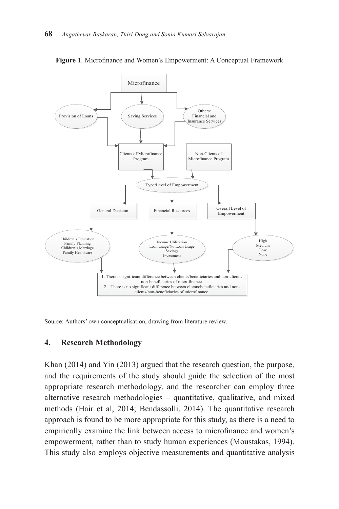

**Figure 1**. Microfinance and Women's Empowerment: A Conceptual Framework

Source: Authors' own conceptualisation, drawing from literature review.

#### **4. Research Methodology**

Khan (2014) and Yin (2013) argued that the research question, the purpose, and the requirements of the study should guide the selection of the most appropriate research methodology, and the researcher can employ three alternative research methodologies – quantitative, qualitative, and mixed methods (Hair et al, 2014; Bendassolli, 2014). The quantitative research approach is found to be more appropriate for this study, as there is a need to empirically examine the link between access to microfinance and women's empowerment, rather than to study human experiences (Moustakas, 1994). This study also employs objective measurements and quantitative analysis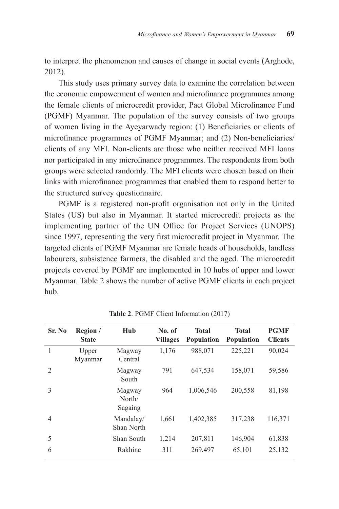to interpret the phenomenon and causes of change in social events (Arghode, 2012).

This study uses primary survey data to examine the correlation between the economic empowerment of women and microfinance programmes among the female clients of microcredit provider, Pact Global Microfinance Fund (PGMF) Myanmar. The population of the survey consists of two groups of women living in the Ayeyarwady region: (1) Beneficiaries or clients of microfinance programmes of PGMF Myanmar; and (2) Non-beneficiaries/ clients of any MFI. Non-clients are those who neither received MFI loans nor participated in any microfinance programmes. The respondents from both groups were selected randomly. The MFI clients were chosen based on their links with microfinance programmes that enabled them to respond better to the structured survey questionnaire.

PGMF is a registered non-profit organisation not only in the United States (US) but also in Myanmar. It started microcredit projects as the implementing partner of the UN Office for Project Services (UNOPS) since 1997, representing the very first microcredit project in Myanmar. The targeted clients of PGMF Myanmar are female heads of households, landless labourers, subsistence farmers, the disabled and the aged. The microcredit projects covered by PGMF are implemented in 10 hubs of upper and lower Myanmar. Table 2 shows the number of active PGMF clients in each project hub.

| Sr. No         | Region /<br><b>State</b> | Hub                         | No. of<br><b>Villages</b> | <b>Total</b><br><b>Population</b> | <b>Total</b><br>Population | <b>PGMF</b><br><b>Clients</b> |
|----------------|--------------------------|-----------------------------|---------------------------|-----------------------------------|----------------------------|-------------------------------|
| 1              | Upper<br>Myanmar         | Magway<br>Central           | 1,176                     | 988,071                           | 225,221                    | 90,024                        |
| $\overline{2}$ |                          | Magway<br>South             | 791                       | 647,534                           | 158,071                    | 59,586                        |
| 3              |                          | Magway<br>North/<br>Sagaing | 964                       | 1,006,546                         | 200,558                    | 81,198                        |
| $\overline{4}$ |                          | Mandalay/<br>Shan North     | 1,661                     | 1,402,385                         | 317,238                    | 116,371                       |
| 5              |                          | Shan South                  | 1,214                     | 207,811                           | 146,904                    | 61,838                        |
| 6              |                          | Rakhine                     | 311                       | 269,497                           | 65,101                     | 25,132                        |

**Table 2**. PGMF Client Information (2017)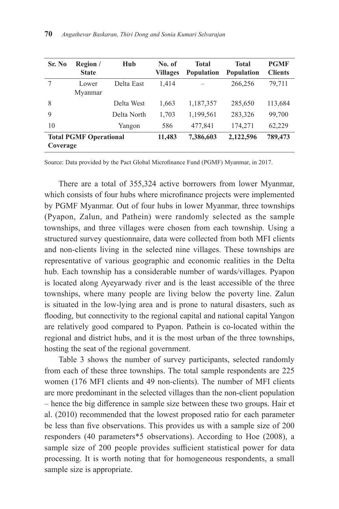| Sr. No                                    | Region /<br><b>State</b> | Hub         | No. of<br><b>Villages</b> | <b>Total</b><br><b>Population</b> | <b>Total</b><br><b>Population</b> | <b>PGMF</b><br><b>Clients</b> |
|-------------------------------------------|--------------------------|-------------|---------------------------|-----------------------------------|-----------------------------------|-------------------------------|
| 7                                         | Lower<br>Myanmar         | Delta East  | 1,414                     |                                   | 266,256                           | 79,711                        |
| 8                                         |                          | Delta West  | 1,663                     | 1,187,357                         | 285,650                           | 113,684                       |
| 9                                         |                          | Delta North | 1,703                     | 1,199,561                         | 283,326                           | 99,700                        |
| 10                                        |                          | Yangon      | 586                       | 477,841                           | 174,271                           | 62,229                        |
| <b>Total PGMF Operational</b><br>Coverage |                          |             | 11,483                    | 7,386,603                         | 2,122,596                         | 789,473                       |

Source: Data provided by the Pact Global Microfinance Fund (PGMF) Myanmar, in 2017.

There are a total of 355,324 active borrowers from lower Myanmar, which consists of four hubs where microfinance projects were implemented by PGMF Myanmar. Out of four hubs in lower Myanmar, three townships (Pyapon, Zalun, and Pathein) were randomly selected as the sample townships, and three villages were chosen from each township. Using a structured survey questionnaire, data were collected from both MFI clients and non-clients living in the selected nine villages. These townships are representative of various geographic and economic realities in the Delta hub. Each township has a considerable number of wards/villages. Pyapon is located along Ayeyarwady river and is the least accessible of the three townships, where many people are living below the poverty line. Zalun is situated in the low-lying area and is prone to natural disasters, such as flooding, but connectivity to the regional capital and national capital Yangon are relatively good compared to Pyapon. Pathein is co-located within the regional and district hubs, and it is the most urban of the three townships, hosting the seat of the regional government.

Table 3 shows the number of survey participants, selected randomly from each of these three townships. The total sample respondents are 225 women (176 MFI clients and 49 non-clients). The number of MFI clients are more predominant in the selected villages than the non-client population – hence the big difference in sample size between these two groups. Hair et al. (2010) recommended that the lowest proposed ratio for each parameter be less than five observations. This provides us with a sample size of 200 responders (40 parameters\*5 observations). According to Hoe (2008), a sample size of 200 people provides sufficient statistical power for data processing. It is worth noting that for homogeneous respondents, a small sample size is appropriate.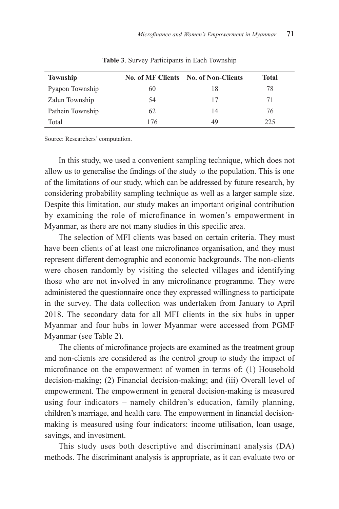| <b>Township</b>  |     | No. of MF Clients No. of Non-Clients | Total |
|------------------|-----|--------------------------------------|-------|
| Pyapon Township  | 60  | 18                                   | 78    |
| Zalun Township   | 54  | 17                                   | 71    |
| Pathein Township | 62  | 14                                   | 76    |
| Total            | 176 | 49                                   | 225   |

**Table 3**. Survey Participants in Each Township

Source: Researchers' computation.

In this study, we used a convenient sampling technique, which does not allow us to generalise the findings of the study to the population. This is one of the limitations of our study, which can be addressed by future research, by considering probability sampling technique as well as a larger sample size. Despite this limitation, our study makes an important original contribution by examining the role of microfinance in women's empowerment in Myanmar, as there are not many studies in this specific area.

The selection of MFI clients was based on certain criteria. They must have been clients of at least one microfinance organisation, and they must represent different demographic and economic backgrounds. The non-clients were chosen randomly by visiting the selected villages and identifying those who are not involved in any microfinance programme. They were administered the questionnaire once they expressed willingness to participate in the survey. The data collection was undertaken from January to April 2018. The secondary data for all MFI clients in the six hubs in upper Myanmar and four hubs in lower Myanmar were accessed from PGMF Myanmar (see Table 2).

The clients of microfinance projects are examined as the treatment group and non-clients are considered as the control group to study the impact of microfinance on the empowerment of women in terms of: (1) Household decision-making; (2) Financial decision-making; and (iii) Overall level of empowerment. The empowerment in general decision-making is measured using four indicators – namely children's education, family planning, children's marriage, and health care. The empowerment in financial decisionmaking is measured using four indicators: income utilisation, loan usage, savings, and investment.

This study uses both descriptive and discriminant analysis (DA) methods. The discriminant analysis is appropriate, as it can evaluate two or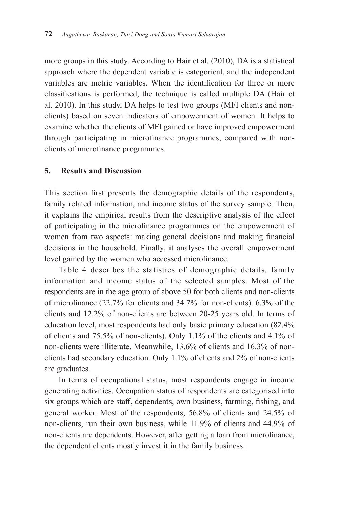more groups in this study. According to Hair et al. (2010), DA is a statistical approach where the dependent variable is categorical, and the independent variables are metric variables. When the identification for three or more classifications is performed, the technique is called multiple DA (Hair et al. 2010). In this study, DA helps to test two groups (MFI clients and nonclients) based on seven indicators of empowerment of women. It helps to examine whether the clients of MFI gained or have improved empowerment through participating in microfinance programmes, compared with nonclients of microfinance programmes.

## **5. Results and Discussion**

This section first presents the demographic details of the respondents, family related information, and income status of the survey sample. Then, it explains the empirical results from the descriptive analysis of the effect of participating in the microfinance programmes on the empowerment of women from two aspects: making general decisions and making financial decisions in the household. Finally, it analyses the overall empowerment level gained by the women who accessed microfinance.

Table 4 describes the statistics of demographic details, family information and income status of the selected samples. Most of the respondents are in the age group of above 50 for both clients and non-clients of microfinance (22.7% for clients and 34.7% for non-clients). 6.3% of the clients and 12.2% of non-clients are between 20-25 years old. In terms of education level, most respondents had only basic primary education (82.4% of clients and 75.5% of non-clients). Only 1.1% of the clients and 4.1% of non-clients were illiterate. Meanwhile, 13.6% of clients and 16.3% of nonclients had secondary education. Only 1.1% of clients and 2% of non-clients are graduates.

In terms of occupational status, most respondents engage in income generating activities. Occupation status of respondents are categorised into six groups which are staff, dependents, own business, farming, fishing, and general worker. Most of the respondents, 56.8% of clients and 24.5% of non-clients, run their own business, while 11.9% of clients and 44.9% of non-clients are dependents. However, after getting a loan from microfinance, the dependent clients mostly invest it in the family business.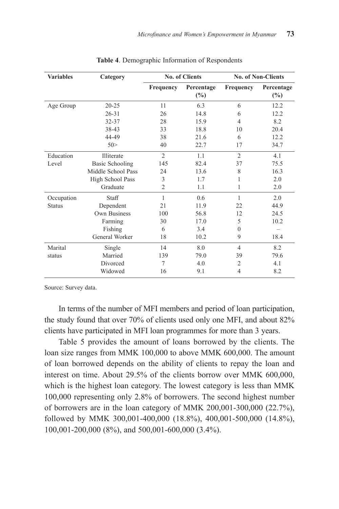| <b>Variables</b> | Category               |                  | No. of Clients       | <b>No. of Non-Clients</b> |                      |
|------------------|------------------------|------------------|----------------------|---------------------------|----------------------|
|                  |                        | <b>Frequency</b> | Percentage<br>$(\%)$ | <b>Frequency</b>          | Percentage<br>$(\%)$ |
| Age Group        | $20 - 25$              | 11               | 6.3                  | 6                         | 12.2                 |
|                  | $26 - 31$              | 26               | 14.8                 | 6                         | 12.2                 |
|                  | 32-37                  | 28               | 15.9                 | $\overline{4}$            | 8.2                  |
|                  | 38-43                  | 33               | 18.8                 | 10                        | 20.4                 |
|                  | 44-49                  | 38               | 21.6                 | 6                         | 12.2                 |
|                  | 50>                    | 40               | 22.7                 | 17                        | 34.7                 |
| Education        | Illiterate             | $\overline{2}$   | 1.1                  | $\overline{2}$            | 4.1                  |
| Level            | <b>Basic Schooling</b> | 145              | 82.4                 | 37                        | 75.5                 |
|                  | Middle School Pass     | 24               | 13.6                 | 8                         | 16.3                 |
|                  | High School Pass       | 3                | 1.7                  | 1                         | 2.0                  |
|                  | Graduate               | $\mathfrak{D}$   | 1.1                  | 1                         | 2.0                  |
| Occupation       | Staff                  | 1                | 0.6                  | 1                         | 2.0                  |
| <b>Status</b>    | Dependent              | 2.1              | 11.9                 | 22                        | 44.9                 |
|                  | Own Business           | 100              | 56.8                 | 12                        | 24.5                 |
|                  | Farming                | 30               | 17.0                 | 5                         | 10.2                 |
|                  | Fishing                | 6                | 3.4                  | 0                         |                      |
|                  | General Worker         | 18               | 10.2                 | 9                         | 18.4                 |
| Marital          | Single                 | 14               | 8.0                  | $\overline{4}$            | 8.2                  |
| status           | Married                | 139              | 79.0                 | 39                        | 79.6                 |
|                  | Divorced               | 7                | 4.0                  | $\mathfrak{2}$            | 4.1                  |
|                  | Widowed                | 16               | 9.1                  | $\overline{4}$            | 8.2                  |

Source: Survey data.

In terms of the number of MFI members and period of loan participation, the study found that over 70% of clients used only one MFI, and about 82% clients have participated in MFI loan programmes for more than 3 years.

Table 5 provides the amount of loans borrowed by the clients. The loan size ranges from MMK 100,000 to above MMK 600,000. The amount of loan borrowed depends on the ability of clients to repay the loan and interest on time. About 29.5% of the clients borrow over MMK 600,000, which is the highest loan category. The lowest category is less than MMK 100,000 representing only 2.8% of borrowers. The second highest number of borrowers are in the loan category of MMK 200,001-300,000 (22.7%), followed by MMK 300,001-400,000 (18.8%), 400,001-500,000 (14.8%), 100,001-200,000 (8%), and 500,001-600,000 (3.4%).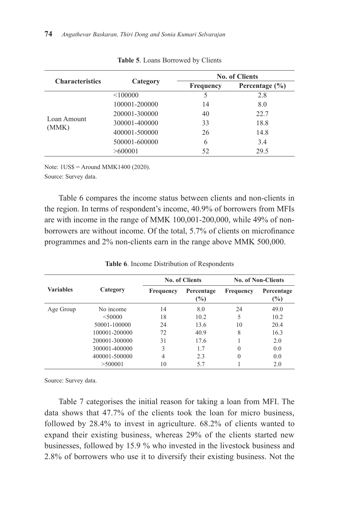| <b>Characteristics</b> |               |                  | <b>No. of Clients</b> |
|------------------------|---------------|------------------|-----------------------|
|                        | Category      | <b>Frequency</b> | Percentage $(\% )$    |
|                        | < 100000      | 5                | 2.8                   |
|                        | 100001-200000 | 14               | 8.0                   |
|                        | 200001-300000 | 40               | 22.7                  |
| Loan Amount            | 300001-400000 | 33               | 18.8                  |
| (MMK)                  | 400001-500000 | 26               | 14.8                  |
|                        | 500001-600000 | 6                | 3.4                   |
|                        | >600001       | 52               | 29.5                  |

**Table 5**. Loans Borrowed by Clients

Note: 1US\$ = Around MMK1400 (2020).

Source: Survey data.

Table 6 compares the income status between clients and non-clients in the region. In terms of respondent's income, 40.9% of borrowers from MFIs are with income in the range of MMK 100,001-200,000, while 49% of nonborrowers are without income. Of the total, 5.7% of clients on microfinance programmes and 2% non-clients earn in the range above MMK 500,000.

|                  |               |                  | No. of Clients       | <b>No. of Non-Clients</b> |                      |
|------------------|---------------|------------------|----------------------|---------------------------|----------------------|
| <b>Variables</b> | Category      | <b>Frequency</b> | Percentage<br>$(\%)$ | Frequency                 | Percentage<br>$(\%)$ |
| Age Group        | No income     | 14               | 8.0                  | 24                        | 49.0                 |
|                  | $<$ 50000     | 18               | 10.2                 | 5                         | 10.2                 |
|                  | 50001-100000  | 24               | 13.6                 | 10                        | 20.4                 |
|                  | 100001-200000 | 72               | 40.9                 | 8                         | 16.3                 |
|                  | 200001-300000 | 31               | 17.6                 |                           | 2.0                  |
|                  | 300001-400000 | 3                | 1.7                  | 0                         | 0.0                  |
|                  | 400001-500000 | 4                | 2.3                  | $\mathbf{0}$              | 0.0                  |
|                  | >500001       | 10               | 5.7                  |                           | 2.0                  |

**Table 6**. Income Distribution of Respondents

Source: Survey data.

Table 7 categorises the initial reason for taking a loan from MFI. The data shows that 47.7% of the clients took the loan for micro business, followed by 28.4% to invest in agriculture. 68.2% of clients wanted to expand their existing business, whereas 29% of the clients started new businesses, followed by 15.9 % who invested in the livestock business and 2.8% of borrowers who use it to diversify their existing business. Not the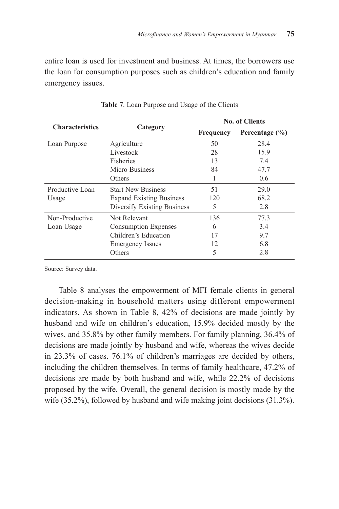entire loan is used for investment and business. At times, the borrowers use the loan for consumption purposes such as children's education and family emergency issues.

|                        |                                 |           | <b>No. of Clients</b> |
|------------------------|---------------------------------|-----------|-----------------------|
| <b>Characteristics</b> | Category                        | Frequency | Percentage $(\% )$    |
| Loan Purpose           | Agriculture                     | 50        | 28.4                  |
|                        | Livestock                       | 28        | 15.9                  |
|                        | <b>Fisheries</b>                | 13        | 7.4                   |
|                        | Micro Business                  | 84        | 47.7                  |
|                        | Others                          | 1         | $0.6^{\circ}$         |
| Productive Loan        | <b>Start New Business</b>       | 51        | 29.0                  |
| Usage                  | <b>Expand Existing Business</b> | 120       | 68.2                  |
|                        | Diversify Existing Business     | 5         | 2.8                   |
| Non-Productive         | Not Relevant                    | 136       | 77.3                  |
| Loan Usage             | <b>Consumption Expenses</b>     | 6         | 3.4                   |
|                        | Children's Education            | 17        | 9.7                   |
|                        | <b>Emergency Issues</b>         | 12        | 6.8                   |
|                        | Others                          | 5         | 2.8                   |

**Table 7**. Loan Purpose and Usage of the Clients

Source: Survey data.

Table 8 analyses the empowerment of MFI female clients in general decision-making in household matters using different empowerment indicators. As shown in Table 8, 42% of decisions are made jointly by husband and wife on children's education, 15.9% decided mostly by the wives, and 35.8% by other family members. For family planning, 36.4% of decisions are made jointly by husband and wife, whereas the wives decide in 23.3% of cases. 76.1% of children's marriages are decided by others, including the children themselves. In terms of family healthcare, 47.2% of decisions are made by both husband and wife, while 22.2% of decisions proposed by the wife. Overall, the general decision is mostly made by the wife (35.2%), followed by husband and wife making joint decisions (31.3%).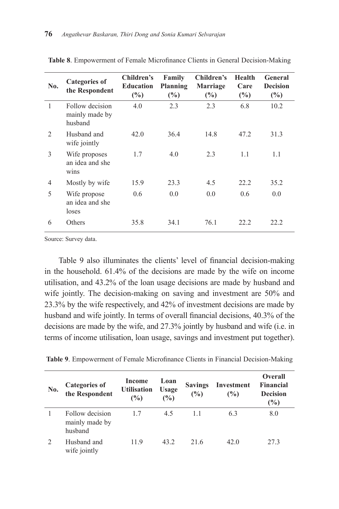| No.            | <b>Categories of</b><br>the Respondent       | Children's<br><b>Education</b><br>(%) | Family<br>Planning<br>(%) | Children's<br><b>Marriage</b><br>(%) | Health<br>Care<br>(%) | General<br><b>Decision</b><br>$\frac{6}{2}$ |
|----------------|----------------------------------------------|---------------------------------------|---------------------------|--------------------------------------|-----------------------|---------------------------------------------|
| 1              | Follow decision<br>mainly made by<br>husband | 4.0                                   | 2.3                       | 2.3                                  | 6.8                   | 10.2                                        |
| $\mathfrak{D}$ | Husband and<br>wife jointly                  | 42.0                                  | 36.4                      | 14.8                                 | 47.2                  | 31.3                                        |
| 3              | Wife proposes<br>an idea and she<br>wins     | 1.7                                   | 4.0                       | 2.3                                  | 1.1                   | 1.1                                         |
| $\overline{4}$ | Mostly by wife                               | 15.9                                  | 23.3                      | 4.5                                  | 22.2                  | 35.2                                        |
| 5              | Wife propose<br>an idea and she<br>loses     | $0.6^{\circ}$                         | 0.0                       | 0.0                                  | 0.6                   | 0.0                                         |
| 6              | Others                                       | 35.8                                  | 34.1                      | 76.1                                 | 22.2                  | 22.2                                        |

**Table 8**. Empowerment of Female Microfinance Clients in General Decision-Making

Source: Survey data.

Table 9 also illuminates the clients' level of financial decision-making in the household. 61.4% of the decisions are made by the wife on income utilisation, and 43.2% of the loan usage decisions are made by husband and wife jointly. The decision-making on saving and investment are 50% and 23.3% by the wife respectively, and 42% of investment decisions are made by husband and wife jointly. In terms of overall financial decisions, 40.3% of the decisions are made by the wife, and 27.3% jointly by husband and wife (i.e. in terms of income utilisation, loan usage, savings and investment put together).

|  |  |  | Table 9. Empowerment of Female Microfinance Clients in Financial Decision-Making |
|--|--|--|----------------------------------------------------------------------------------|
|  |  |  |                                                                                  |

| No. | <b>Categories of</b><br>the Respondent       | Income<br><b>Utilisation</b><br>$\frac{9}{6}$ | Loan<br><b>Usage</b><br>$\frac{9}{6}$ | <b>Savings</b><br>(%) | Investment<br>(%) | <b>Overall</b><br><b>Financial</b><br><b>Decision</b><br>(%) |
|-----|----------------------------------------------|-----------------------------------------------|---------------------------------------|-----------------------|-------------------|--------------------------------------------------------------|
|     | Follow decision<br>mainly made by<br>husband | 1.7                                           | 4.5                                   | 1.1                   | 6.3               | 8.0                                                          |
|     | Husband and<br>wife jointly                  | 11.9                                          | 43.2                                  | 21.6                  | 42.0              | 27.3                                                         |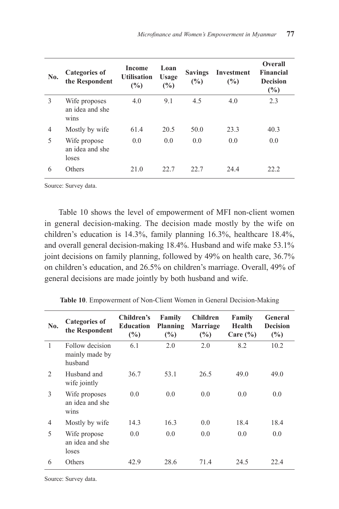| No.            | <b>Categories of</b><br>the Respondent                            | Income<br><b>Utilisation</b><br>(%) | Loan<br><b>Usage</b><br>(%) | <b>Savings</b><br>(%) | Investment<br>(%) | Overall<br><b>Financial</b><br><b>Decision</b><br>(%) |
|----------------|-------------------------------------------------------------------|-------------------------------------|-----------------------------|-----------------------|-------------------|-------------------------------------------------------|
| 3              | Wife proposes<br>an idea and she<br>W <sub>1</sub> n <sub>S</sub> | 4.0                                 | 9.1                         | 4.5                   | 4.0               | 2.3                                                   |
| $\overline{4}$ | Mostly by wife                                                    | 61.4                                | 20.5                        | 50.0                  | 23.3              | 40.3                                                  |
| 5              | Wife propose<br>an idea and she<br>loses                          | 0.0                                 | 0.0                         | 0.0                   | 0.0               | 0.0                                                   |
| 6              | Others                                                            | 21.0                                | 22.7                        | 22.7                  | 24.4              | 22.2                                                  |

Source: Survey data.

Table 10 shows the level of empowerment of MFI non-client women in general decision-making. The decision made mostly by the wife on children's education is 14.3%, family planning 16.3%, healthcare 18.4%, and overall general decision-making 18.4%. Husband and wife make 53.1% joint decisions on family planning, followed by 49% on health care, 36.7% on children's education, and 26.5% on children's marriage. Overall, 49% of general decisions are made jointly by both husband and wife.

| No.                           | <b>Categories of</b><br>the Respondent       | Children's<br><b>Education</b><br>(%) | Family<br>Planning<br>(%) | <b>Children</b><br>Marriage<br>(%) | Family<br><b>Health</b><br>Care $(\% )$ | General<br><b>Decision</b><br>(%) |
|-------------------------------|----------------------------------------------|---------------------------------------|---------------------------|------------------------------------|-----------------------------------------|-----------------------------------|
| $\mathbf{1}$                  | Follow decision<br>mainly made by<br>husband | 6.1                                   | 2.0                       | 2.0                                | 8.2                                     | 10.2                              |
| $\mathfrak{D}_{\mathfrak{p}}$ | Husband and<br>wife jointly                  | 36.7                                  | 53.1                      | 26.5                               | 49.0                                    | 49.0                              |
| 3                             | Wife proposes<br>an idea and she<br>wins     | 0.0                                   | 0.0                       | 0.0                                | 0.0                                     | 0.0                               |
| 4                             | Mostly by wife                               | 14.3                                  | 16.3                      | 0.0                                | 18.4                                    | 18.4                              |
| 5                             | Wife propose<br>an idea and she<br>loses     | 0.0                                   | 0.0                       | 0.0                                | 0.0                                     | 0.0                               |
| 6                             | Others                                       | 42.9                                  | 28.6                      | 71.4                               | 24.5                                    | 22.4                              |

**Table 10**. Empowerment of Non-Client Women in General Decision-Making

Source: Survey data.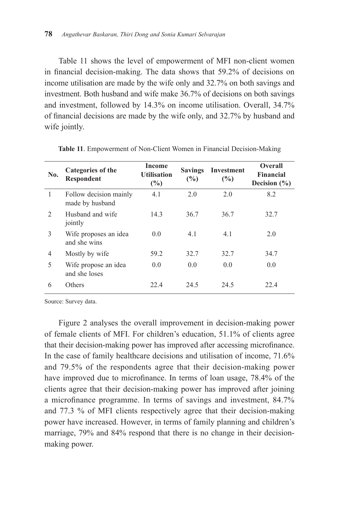Table 11 shows the level of empowerment of MFI non-client women in financial decision-making. The data shows that 59.2% of decisions on income utilisation are made by the wife only and 32.7% on both savings and investment. Both husband and wife make 36.7% of decisions on both savings and investment, followed by 14.3% on income utilisation. Overall, 34.7% of financial decisions are made by the wife only, and 32.7% by husband and wife jointly.

| No.           | Categories of the<br>Respondent           | Income<br><b>Utilisation</b><br>(%) | <b>Savings</b><br>(%) | Investment<br>(%) | <b>Overall</b><br><b>Financial</b><br>Decision $(\% )$ |
|---------------|-------------------------------------------|-------------------------------------|-----------------------|-------------------|--------------------------------------------------------|
| 1             | Follow decision mainly<br>made by husband | 4.1                                 | 2.0                   | 2.0               | 8.2                                                    |
| $\mathcal{L}$ | Husband and wife<br>jointly               | 14.3                                | 36.7                  | 36.7              | 32.7                                                   |
| 3             | Wife proposes an idea<br>and she wins     | 0.0                                 | 4.1                   | 4.1               | 2.0                                                    |
| 4             | Mostly by wife                            | 59.2                                | 32.7                  | 32.7              | 34.7                                                   |
| 5             | Wife propose an idea<br>and she loses     | 0.0                                 | 0.0                   | 0.0               | 0.0                                                    |
| 6             | Others                                    | 22.4                                | 24.5                  | 24.5              | 22.4                                                   |

**Table 11**. Empowerment of Non-Client Women in Financial Decision-Making

Source: Survey data.

Figure 2 analyses the overall improvement in decision-making power of female clients of MFI. For children's education, 51.1% of clients agree that their decision-making power has improved after accessing microfinance. In the case of family healthcare decisions and utilisation of income, 71.6% and 79.5% of the respondents agree that their decision-making power have improved due to microfinance. In terms of loan usage, 78.4% of the clients agree that their decision-making power has improved after joining a microfinance programme. In terms of savings and investment, 84.7% and 77.3 % of MFI clients respectively agree that their decision-making power have increased. However, in terms of family planning and children's marriage, 79% and 84% respond that there is no change in their decisionmaking power.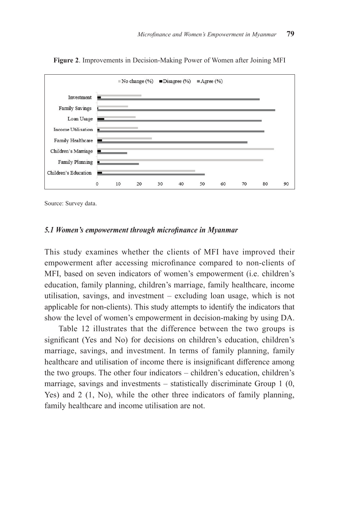

**Figure 2**. Improvements in Decision-Making Power of Women after Joining MFI

Source: Survey data.

#### *5.1 Women's empowerment through microfinance in Myanmar*

This study examines whether the clients of MFI have improved their empowerment after accessing microfinance compared to non-clients of MFI, based on seven indicators of women's empowerment (i.e. children's education, family planning, children's marriage, family healthcare, income utilisation, savings, and investment – excluding loan usage, which is not applicable for non-clients). This study attempts to identify the indicators that show the level of women's empowerment in decision-making by using DA.

Table 12 illustrates that the difference between the two groups is significant (Yes and No) for decisions on children's education, children's marriage, savings, and investment. In terms of family planning, family healthcare and utilisation of income there is insignificant difference among the two groups. The other four indicators – children's education, children's marriage, savings and investments – statistically discriminate Group 1 (0, Yes) and 2 (1, No), while the other three indicators of family planning, family healthcare and income utilisation are not.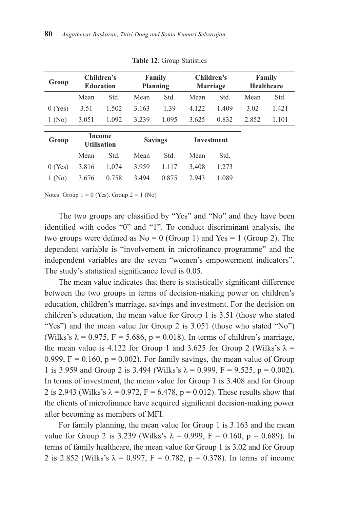| Group     | Children's<br><b>Education</b> |       | Family<br>Planning |       | Children's<br><b>Marriage</b> |       | Family<br><b>Healthcare</b> |       |
|-----------|--------------------------------|-------|--------------------|-------|-------------------------------|-------|-----------------------------|-------|
|           | Mean                           | Std.  | Mean               | Std.  | Mean                          | Std.  | Mean                        | Std.  |
| $0$ (Yes) | 3.51                           | 1.502 | 3.163              | 1.39  | 4.122                         | 1.409 | 3.02                        | 1.421 |
| 1(No)     | 3.051                          | 1.092 | 3.239              | 1.095 | 3.625                         | 0.832 | 2.852                       | 1.101 |
| Group     | Income<br><b>Utilisation</b>   |       | <b>Savings</b>     |       | <b>Investment</b>             |       |                             |       |
|           | Mean                           | Std.  | Mean               | Std.  | Mean                          | Std.  |                             |       |
| 0(Yes)    | 3.816                          | 1.074 | 3.959              | 1.117 | 3.408                         | 1.273 |                             |       |
| $1$ (No)  | 3.676                          | 0.758 | 3.494              | 0.875 | 2.943                         | 1.089 |                             |       |

**Table 12**. Group Statistics

Notes: Group  $1 = 0$  (Yes). Group  $2 = 1$  (No)

The two groups are classified by "Yes" and "No" and they have been identified with codes "0" and "1". To conduct discriminant analysis, the two groups were defined as  $No = 0$  (Group 1) and Yes = 1 (Group 2). The dependent variable is "involvement in microfinance programme" and the independent variables are the seven "women's empowerment indicators". The study's statistical significance level is 0.05.

The mean value indicates that there is statistically significant difference between the two groups in terms of decision-making power on children's education, children's marriage, savings and investment. For the decision on children's education, the mean value for Group 1 is 3.51 (those who stated "Yes") and the mean value for Group 2 is 3.051 (those who stated "No") (Wilks's  $\lambda = 0.975$ ,  $F = 5.686$ ,  $p = 0.018$ ). In terms of children's marriage, the mean value is 4.122 for Group 1 and 3.625 for Group 2 (Wilks's  $\lambda$  = 0.999,  $F = 0.160$ ,  $p = 0.002$ ). For family savings, the mean value of Group 1 is 3.959 and Group 2 is 3.494 (Wilks's  $\lambda = 0.999$ , F = 9.525, p = 0.002). In terms of investment, the mean value for Group 1 is 3.408 and for Group 2 is 2.943 (Wilks's  $\lambda = 0.972$ ,  $F = 6.478$ ,  $p = 0.012$ ). These results show that the clients of microfinance have acquired significant decision-making power after becoming as members of MFI.

For family planning, the mean value for Group 1 is 3.163 and the mean value for Group 2 is 3.239 (Wilks's  $\lambda = 0.999$ , F = 0.160, p = 0.689). In terms of family healthcare, the mean value for Group 1 is 3.02 and for Group 2 is 2.852 (Wilks's  $\lambda = 0.997$ ,  $F = 0.782$ ,  $p = 0.378$ ). In terms of income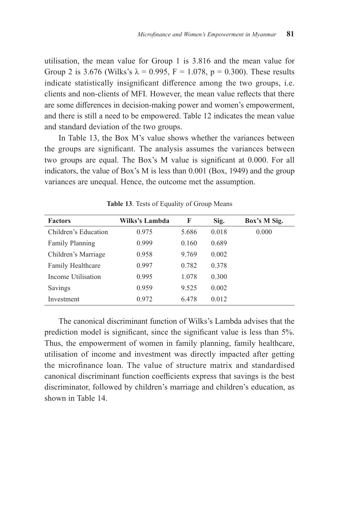utilisation, the mean value for Group 1 is 3.816 and the mean value for Group 2 is 3.676 (Wilks's  $\lambda = 0.995$ , F = 1.078, p = 0.300). These results indicate statistically insignificant difference among the two groups, i.e. clients and non-clients of MFI. However, the mean value reflects that there are some differences in decision-making power and women's empowerment, and there is still a need to be empowered. Table 12 indicates the mean value and standard deviation of the two groups.

In Table 13, the Box M's value shows whether the variances between the groups are significant. The analysis assumes the variances between two groups are equal. The Box's M value is significant at 0.000. For all indicators, the value of Box's M is less than 0.001 (Box, 1949) and the group variances are unequal. Hence, the outcome met the assumption.

| <b>Factors</b>       | Wilks's Lambda | F     | Sig.  | Box's M Sig. |
|----------------------|----------------|-------|-------|--------------|
| Children's Education | 0.975          | 5.686 | 0.018 | 0.000        |
| Family Planning      | 0.999          | 0.160 | 0.689 |              |
| Children's Marriage  | 0.958          | 9.769 | 0.002 |              |
| Family Healthcare    | 0.997          | 0.782 | 0.378 |              |
| Income Utilisation   | 0.995          | 1.078 | 0.300 |              |
| Savings              | 0.959          | 9.525 | 0.002 |              |
| Investment           | 0.972          | 6.478 | 0.012 |              |

**Table 13**. Tests of Equality of Group Means

The canonical discriminant function of Wilks's Lambda advises that the prediction model is significant, since the significant value is less than 5%. Thus, the empowerment of women in family planning, family healthcare, utilisation of income and investment was directly impacted after getting the microfinance loan. The value of structure matrix and standardised canonical discriminant function coefficients express that savings is the best discriminator, followed by children's marriage and children's education, as shown in Table 14.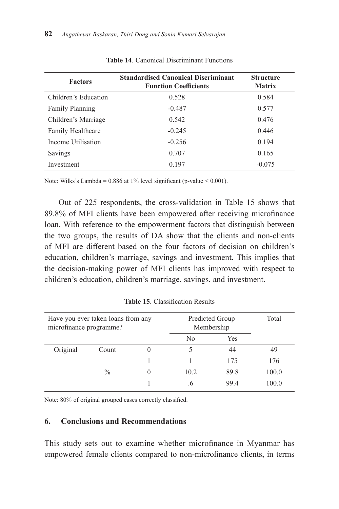| <b>Factors</b>         | <b>Standardised Canonical Discriminant</b><br><b>Function Coefficients</b> | <b>Structure</b><br><b>Matrix</b> |
|------------------------|----------------------------------------------------------------------------|-----------------------------------|
| Children's Education   | 0.528                                                                      | 0.584                             |
| <b>Family Planning</b> | $-0.487$                                                                   | 0.577                             |
| Children's Marriage    | 0.542                                                                      | 0.476                             |
| Family Healthcare      | $-0.245$                                                                   | 0.446                             |
| Income Utilisation     | $-0.256$                                                                   | 0.194                             |
| Savings                | 0.707                                                                      | 0.165                             |
| Investment             | 0.197                                                                      | $-0.075$                          |

**Table 14**. Canonical Discriminant Functions

Note: Wilks's Lambda = 0.886 at 1% level significant (p-value < 0.001).

Out of 225 respondents, the cross-validation in Table 15 shows that 89.8% of MFI clients have been empowered after receiving microfinance loan. With reference to the empowerment factors that distinguish between the two groups, the results of DA show that the clients and non-clients of MFI are different based on the four factors of decision on children's education, children's marriage, savings and investment. This implies that the decision-making power of MFI clients has improved with respect to children's education, children's marriage, savings, and investment.

| Have you ever taken loans from any<br>microfinance programme? |               |  | Predicted Group<br>Membership | Total |       |
|---------------------------------------------------------------|---------------|--|-------------------------------|-------|-------|
|                                                               |               |  | No                            | Yes   |       |
| Original                                                      | Count         |  |                               | 44    | 49    |
|                                                               |               |  |                               | 175   | 176   |
|                                                               | $\frac{0}{0}$ |  | 10.2                          | 89.8  | 100.0 |
|                                                               |               |  | $\cdot$                       | 99.4  | 100.0 |

**Table 15**. Classification Results

Note: 80% of original grouped cases correctly classified.

## **6. Conclusions and Recommendations**

This study sets out to examine whether microfinance in Myanmar has empowered female clients compared to non-microfinance clients, in terms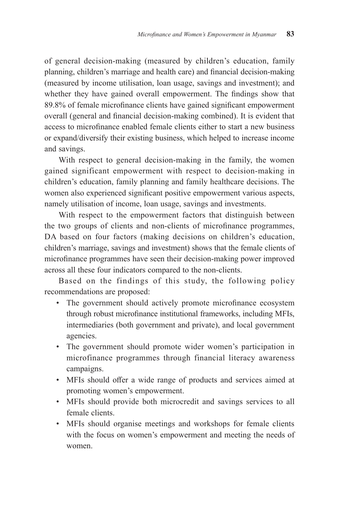of general decision-making (measured by children's education, family planning, children's marriage and health care) and financial decision-making (measured by income utilisation, loan usage, savings and investment); and whether they have gained overall empowerment. The findings show that 89.8% of female microfinance clients have gained significant empowerment overall (general and financial decision-making combined). It is evident that access to microfinance enabled female clients either to start a new business or expand/diversify their existing business, which helped to increase income and savings.

With respect to general decision-making in the family, the women gained significant empowerment with respect to decision-making in children's education, family planning and family healthcare decisions. The women also experienced significant positive empowerment various aspects, namely utilisation of income, loan usage, savings and investments.

With respect to the empowerment factors that distinguish between the two groups of clients and non-clients of microfinance programmes, DA based on four factors (making decisions on children's education, children's marriage, savings and investment) shows that the female clients of microfinance programmes have seen their decision-making power improved across all these four indicators compared to the non-clients.

Based on the findings of this study, the following policy recommendations are proposed:

- The government should actively promote microfinance ecosystem through robust microfinance institutional frameworks, including MFIs, intermediaries (both government and private), and local government agencies.
- The government should promote wider women's participation in microfinance programmes through financial literacy awareness campaigns.
- MFIs should offer a wide range of products and services aimed at promoting women's empowerment.
- MFIs should provide both microcredit and savings services to all female clients.
- MFIs should organise meetings and workshops for female clients with the focus on women's empowerment and meeting the needs of women.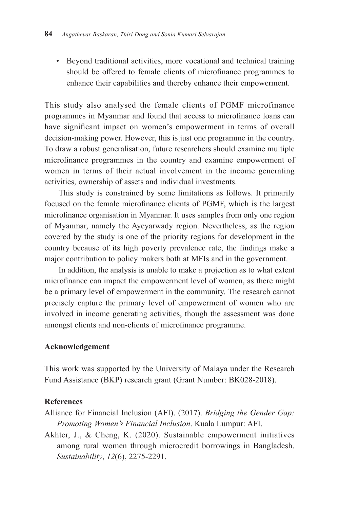• Beyond traditional activities, more vocational and technical training should be offered to female clients of microfinance programmes to enhance their capabilities and thereby enhance their empowerment.

This study also analysed the female clients of PGMF microfinance programmes in Myanmar and found that access to microfinance loans can have significant impact on women's empowerment in terms of overall decision-making power. However, this is just one programme in the country. To draw a robust generalisation, future researchers should examine multiple microfinance programmes in the country and examine empowerment of women in terms of their actual involvement in the income generating activities, ownership of assets and individual investments.

This study is constrained by some limitations as follows. It primarily focused on the female microfinance clients of PGMF, which is the largest microfinance organisation in Myanmar. It uses samples from only one region of Myanmar, namely the Ayeyarwady region. Nevertheless, as the region covered by the study is one of the priority regions for development in the country because of its high poverty prevalence rate, the findings make a major contribution to policy makers both at MFIs and in the government.

In addition, the analysis is unable to make a projection as to what extent microfinance can impact the empowerment level of women, as there might be a primary level of empowerment in the community. The research cannot precisely capture the primary level of empowerment of women who are involved in income generating activities, though the assessment was done amongst clients and non-clients of microfinance programme.

## **Acknowledgement**

This work was supported by the University of Malaya under the Research Fund Assistance (BKP) research grant (Grant Number: BK028-2018).

## **References**

- Alliance for Financial Inclusion (AFI). (2017). *Bridging the Gender Gap: Promoting Women's Financial Inclusion*. Kuala Lumpur: AFI.
- Akhter, J., & Cheng, K. (2020). Sustainable empowerment initiatives among rural women through microcredit borrowings in Bangladesh. *Sustainability*, *12*(6), 2275-2291.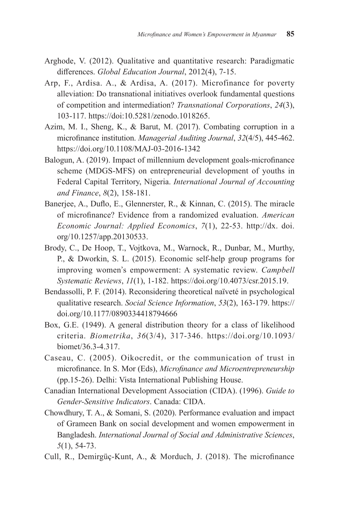- Arghode, V. (2012). Qualitative and quantitative research: Paradigmatic differences. *Global Education Journal*, 2012(4), 7-15.
- Arp, F., Ardisa. A., & Ardisa, A. (2017). Microfinance for poverty alleviation: Do transnational initiatives overlook fundamental questions of competition and intermediation? *Transnational Corporations*, *24*(3), 103-117. https://doi:10.5281/zenodo.1018265.
- Azim, M. I., Sheng, K., & Barut, M. (2017). Combating corruption in a microfinance institution. *Managerial Auditing Journal*, *32*(4/5), 445-462. https://doi.org/10.1108/MAJ-03-2016-1342
- Balogun, A. (2019). Impact of millennium development goals-microfinance scheme (MDGS-MFS) on entrepreneurial development of youths in Federal Capital Territory, Nigeria. *International Journal of Accounting and Finance*, *8*(2), 158-181.
- Banerjee, A., Duflo, E., Glennerster, R., & Kinnan, C. (2015). The miracle of microfinance? Evidence from a randomized evaluation. *American Economic Journal: Applied Economics*, *7*(1), 22-53. http://dx. doi. org/10.1257/app.20130533.
- Brody, C., De Hoop, T., Vojtkova, M., Warnock, R., Dunbar, M., Murthy, P., & Dworkin, S. L. (2015). Economic self‐help group programs for improving women's empowerment: A systematic review. *Campbell Systematic Reviews*, *11*(1), 1-182. https://doi.org/10.4073/csr.2015.19.
- Bendassolli, P. F. (2014). Reconsidering theoretical naïveté in psychological qualitative research. *Social Science Information*, *53*(2), 163-179. https:// doi.org/10.1177/0890334418794666
- Box, G.E. (1949). A general distribution theory for a class of likelihood criteria. *Biometrika*, *36*(3/4), 317-346. https://doi.org/10.1093/ biomet/36.3-4.317.
- Caseau, C. (2005). Oikocredit, or the communication of trust in microfinance. In S. Mor (Eds), *Microfinance and Microentrepreneurship* (pp.15-26). Delhi: Vista International Publishing House.
- Canadian International Development Association (CIDA). (1996). *Guide to Gender-Sensitive Indicators*. Canada: CIDA.
- Chowdhury, T. A., & Somani, S. (2020). Performance evaluation and impact of Grameen Bank on social development and women empowerment in Bangladesh. *International Journal of Social and Administrative Sciences*, *5*(1), 54-73.
- Cull, R., Demirgüç-Kunt, A., & Morduch, J. (2018). The microfinance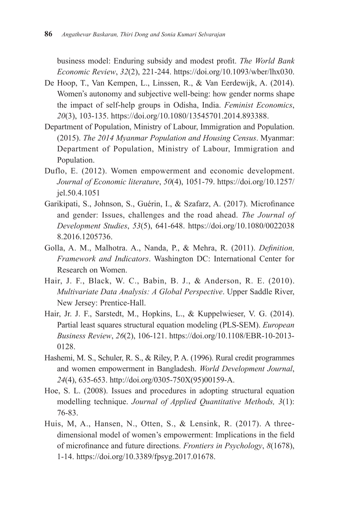business model: Enduring subsidy and modest profit. *The World Bank Economic Review*, *32*(2), 221-244. https://doi.org/10.1093/wber/lhx030.

- De Hoop, T., Van Kempen, L., Linssen, R., & Van Eerdewijk, A. (2014). Women's autonomy and subjective well-being: how gender norms shape the impact of self-help groups in Odisha, India. *Feminist Economics*, *20*(3), 103-135. https://doi.org/10.1080/13545701.2014.893388.
- Department of Population, Ministry of Labour, Immigration and Population. (2015). *The 2014 Myanmar Population and Housing Census*. Myanmar: Department of Population, Ministry of Labour, Immigration and Population.
- Duflo, E. (2012). Women empowerment and economic development. *Journal of Economic literature*, *50*(4), 1051-79. https://doi.org/10.1257/ jel.50.4.1051
- Garikipati, S., Johnson, S., Guérin, I., & Szafarz, A. (2017). Microfinance and gender: Issues, challenges and the road ahead. *The Journal of Development Studies*, *53*(5), 641-648. https://doi.org/10.1080/0022038 8.2016.1205736.
- Golla, A. M., Malhotra. A., Nanda, P., & Mehra, R. (2011). *Definition, Framework and Indicators*. Washington DC: International Center for Research on Women.
- Hair, J. F., Black, W. C., Babin, B. J., & Anderson, R. E. (2010). *Multivariate Data Analysis: A Global Perspective*. Upper Saddle River, New Jersey: Prentice-Hall.
- Hair, Jr. J. F., Sarstedt, M., Hopkins, L., & Kuppelwieser, V. G. (2014). Partial least squares structural equation modeling (PLS-SEM). *European Business Review*, *26*(2), 106-121. https://doi.org/10.1108/EBR-10-2013- 0128.
- Hashemi, M. S., Schuler, R. S., & Riley, P. A. (1996). Rural credit programmes and women empowerment in Bangladesh. *World Development Journal*, *24*(4), 635-653. http://doi.org/0305-750X(95)00159-A.
- Hoe, S. L. (2008). Issues and procedures in adopting structural equation modelling technique. *Journal of Applied Quantitative Methods, 3*(1): 76-83.
- Huis, M, A., Hansen, N., Otten, S., & Lensink, R. (2017). A threedimensional model of women's empowerment: Implications in the field of microfinance and future directions. *Frontiers in Psychology*, *8*(1678), 1-14. https://doi.org/10.3389/fpsyg.2017.01678.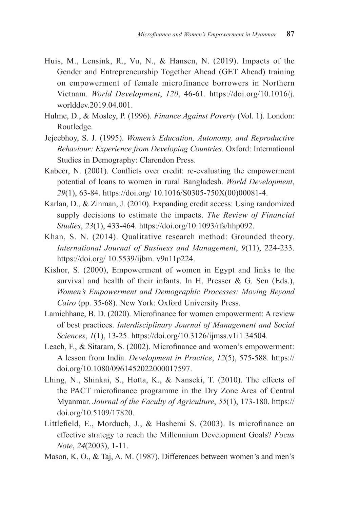- Huis, M., Lensink, R., Vu, N., & Hansen, N. (2019). Impacts of the Gender and Entrepreneurship Together Ahead (GET Ahead) training on empowerment of female microfinance borrowers in Northern Vietnam. *World Development*, *120*, 46-61. https://doi.org/10.1016/j. worlddev.2019.04.001.
- Hulme, D., & Mosley, P. (1996). *Finance Against Poverty* (Vol. 1). London: Routledge.
- Jejeebhoy, S. J. (1995). *Women's Education, Autonomy, and Reproductive Behaviour: Experience from Developing Countries.* Oxford: International Studies in Demography: Clarendon Press.
- Kabeer, N. (2001). Conflicts over credit: re-evaluating the empowerment potential of loans to women in rural Bangladesh. *World Development*, *29*(1), 63-84. https://doi.org/ 10.1016/S0305-750X(00)00081-4.
- Karlan, D., & Zinman, J. (2010). Expanding credit access: Using randomized supply decisions to estimate the impacts. *The Review of Financial Studies*, *23*(1), 433-464. https://doi.org/10.1093/rfs/hhp092.
- Khan, S. N. (2014). Qualitative research method: Grounded theory. *International Journal of Business and Management*, *9*(11), 224-233. https://doi.org/ 10.5539/ijbm. v9n11p224.
- Kishor, S. (2000), Empowerment of women in Egypt and links to the survival and health of their infants. In H. Presser & G. Sen (Eds.), *Women's Empowerment and Demographic Processes: Moving Beyond Cairo* (pp. 35-68). New York: Oxford University Press.
- Lamichhane, B. D. (2020). Microfinance for women empowerment: A review of best practices. *Interdisciplinary Journal of Management and Social Sciences*, *1*(1), 13-25. https://doi.org/10.3126/ijmss.v1i1.34504.
- Leach, F., & Sitaram, S. (2002). Microfinance and women's empowerment: A lesson from India. *Development in Practice*, *12*(5), 575-588. https:// doi.org/10.1080/0961452022000017597.
- Lhing, N., Shinkai, S., Hotta, K., & Nanseki, T. (2010). The effects of the PACT microfinance programme in the Dry Zone Area of Central Myanmar. *Journal of the Faculty of Agriculture*, *55*(1), 173-180. https:// doi.org/10.5109/17820.
- Littlefield, E., Morduch, J., & Hashemi S. (2003). Is microfinance an effective strategy to reach the Millennium Development Goals? *Focus Note*, *24*(2003), 1-11.
- Mason, K. O., & Taj, A. M. (1987). Differences between women's and men's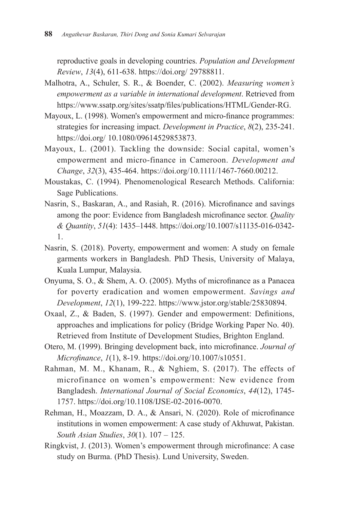reproductive goals in developing countries. *Population and Development Review*, *13*(4), 611-638. https://doi.org/ 29788811.

- Malhotra, A., Schuler, S. R., & Boender, C. (2002). *Measuring women's empowerment as a variable in international development*. Retrieved from https://www.ssatp.org/sites/ssatp/files/publications/HTML/Gender-RG.
- Mayoux, L. (1998). Women's empowerment and micro-finance programmes: strategies for increasing impact. *Development in Practice*, *8*(2), 235-241. https://doi.org/ 10.1080/09614529853873.
- Mayoux, L. (2001). Tackling the downside: Social capital, women's empowerment and micro-finance in Cameroon. *Development and Change*, *32*(3), 435-464. https://doi.org/10.1111/1467-7660.00212.
- Moustakas, C. (1994). Phenomenological Research Methods. California: Sage Publications.
- Nasrin, S., Baskaran, A., and Rasiah, R. (2016). Microfinance and savings among the poor: Evidence from Bangladesh microfinance sector. *Quality & Quantity*, *51*(4): 1435–1448. https://doi.org/10.1007/s11135-016-0342- 1.
- Nasrin, S. (2018). Poverty, empowerment and women: A study on female garments workers in Bangladesh. PhD Thesis, University of Malaya, Kuala Lumpur, Malaysia.
- Onyuma, S. O., & Shem, A. O. (2005). Myths of microfinance as a Panacea for poverty eradication and women empowerment. *Savings and Development*, *12*(1), 199-222. https://www.jstor.org/stable/25830894.
- Oxaal, Z., & Baden, S. (1997). Gender and empowerment: Definitions, approaches and implications for policy (Bridge Working Paper No. 40). Retrieved from Institute of Development Studies, Brighton England.
- Otero, M. (1999). Bringing development back, into microfinance. *Journal of Microfinance*, *1*(1), 8-19. https://doi.org/10.1007/s10551.
- Rahman, M. M., Khanam, R., & Nghiem, S. (2017). The effects of microfinance on women's empowerment: New evidence from Bangladesh. *International Journal of Social Economics*, *44*(12), 1745- 1757. https://doi.org/10.1108/IJSE-02-2016-0070.
- Rehman, H., Moazzam, D. A., & Ansari, N. (2020). Role of microfinance institutions in women empowerment: A case study of Akhuwat, Pakistan. *South Asian Studies*, *30*(1). 107 – 125.
- Ringkvist, J. (2013). Women's empowerment through microfinance: A case study on Burma. (PhD Thesis). Lund University, Sweden.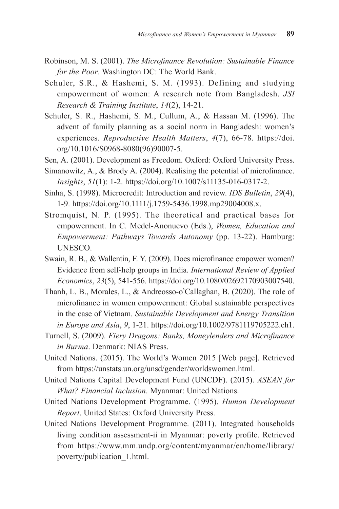- Robinson, M. S. (2001). *The Microfinance Revolution: Sustainable Finance for the Poor*. Washington DC: The World Bank.
- Schuler, S.R., & Hashemi, S. M. (1993). Defining and studying empowerment of women: A research note from Bangladesh. *JSI Research & Training Institute*, *14*(2), 14-21.
- Schuler, S. R., Hashemi, S. M., Cullum, A., & Hassan M. (1996). The advent of family planning as a social norm in Bangladesh: women's experiences. *Reproductive Health Matters*, *4*(7), 66-78. https://doi. org/10.1016/S0968-8080(96)90007-5.
- Sen, A. (2001). Development as Freedom. Oxford: Oxford University Press.
- Simanowitz, A., & Brody A. (2004). Realising the potential of microfinance. *Insights*, *51*(1): 1-2. https://doi.org/10.1007/s11135-016-0317-2.
- Sinha, S. (1998). Microcredit: Introduction and review. *IDS Bulletin*, *29*(4), 1-9. https://doi.org/10.1111/j.1759-5436.1998.mp29004008.x.
- Stromquist, N. P. (1995). The theoretical and practical bases for empowerment. In C. Medel-Anonuevo (Eds.), *Women, Education and Empowerment: Pathways Towards Autonomy* (pp. 13-22). Hamburg: UNESCO.
- Swain, R. B., & Wallentin, F. Y. (2009). Does microfinance empower women? Evidence from self‐help groups in India. *International Review of Applied Economics*, *23*(5), 541-556. https://doi.org/10.1080/02692170903007540.
- Thanh, L. B., Morales, L., & Andreosso‐o'Callaghan, B. (2020). The role of microfinance in women empowerment: Global sustainable perspectives in the case of Vietnam. *Sustainable Development and Energy Transition in Europe and Asia*, *9*, 1-21. https://doi.org/10.1002/9781119705222.ch1.
- Turnell, S. (2009). *Fiery Dragons: Banks, Moneylenders and Microfinance in Burma*. Denmark: NIAS Press.
- United Nations. (2015). The World's Women 2015 [Web page]. Retrieved from https://unstats.un.org/unsd/gender/worldswomen.html.
- United Nations Capital Development Fund (UNCDF). (2015). *ASEAN for What? Financial Inclusion*. Myanmar: United Nations.
- United Nations Development Programme. (1995). *Human Development Report*. United States: Oxford University Press.
- United Nations Development Programme. (2011). Integrated households living condition assessment-ii in Myanmar: poverty profile. Retrieved from https://www.mm.undp.org/content/myanmar/en/home/library/ poverty/publication\_1.html.